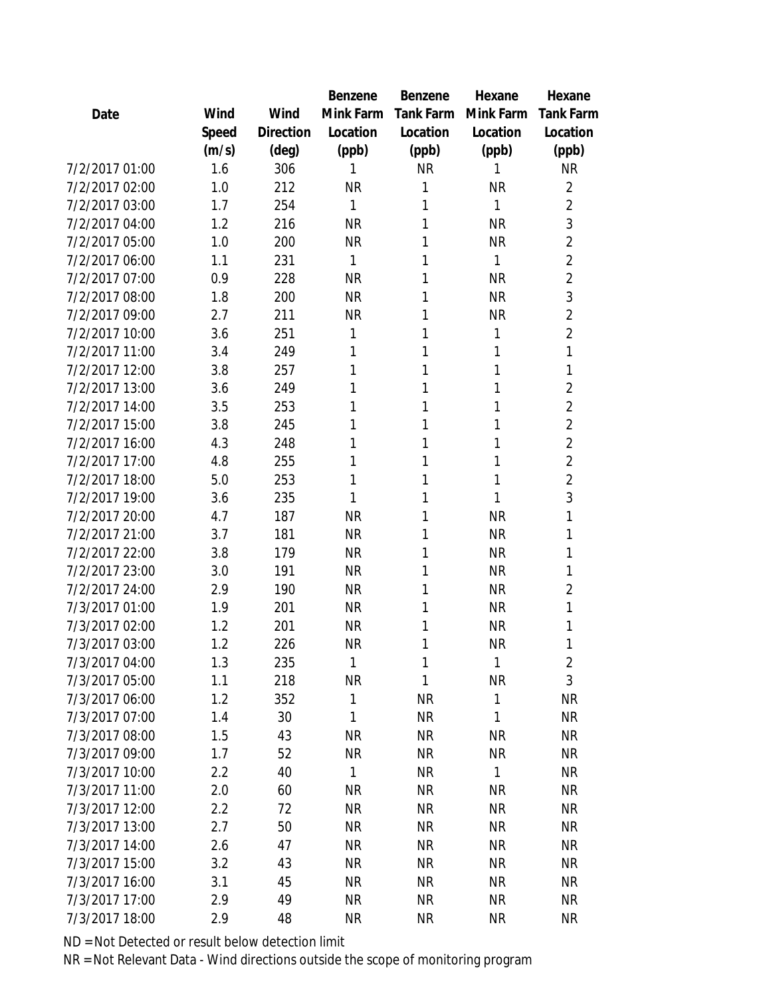|       |           | Benzene   | Benzene          | Hexane       | Hexane           |
|-------|-----------|-----------|------------------|--------------|------------------|
| Wind  | Wind      | Mink Farm | <b>Tank Farm</b> | Mink Farm    | <b>Tank Farm</b> |
| Speed | Direction | Location  | Location         | Location     | Location         |
| (m/s) | (deg)     | (ppb)     | (ppb)            | (ppb)        | (ppb)            |
| 1.6   | 306       | 1         | <b>NR</b>        | 1            | <b>NR</b>        |
| 1.0   | 212       | <b>NR</b> | 1                | <b>NR</b>    | $\overline{2}$   |
| 1.7   | 254       | 1         | 1                | 1            | $\overline{2}$   |
| 1.2   | 216       | <b>NR</b> | 1                | <b>NR</b>    | 3                |
| 1.0   | 200       | <b>NR</b> | 1                | <b>NR</b>    | 2                |
| 1.1   | 231       | 1         | 1                | 1            | $\overline{2}$   |
| 0.9   | 228       | <b>NR</b> | 1                | <b>NR</b>    | $\overline{c}$   |
| 1.8   | 200       | <b>NR</b> | 1                | <b>NR</b>    | 3                |
| 2.7   | 211       | <b>NR</b> | 1                | <b>NR</b>    | $\overline{c}$   |
| 3.6   | 251       | 1         | 1                | 1            | $\overline{c}$   |
| 3.4   | 249       | 1         | 1                | 1            | 1                |
| 3.8   | 257       | 1         | 1                | 1            | 1                |
| 3.6   | 249       | 1         | 1                | 1            | $\overline{c}$   |
| 3.5   | 253       | 1         | 1                | 1            | $\overline{2}$   |
| 3.8   | 245       | 1         | 1                | 1            | $\overline{2}$   |
| 4.3   | 248       | 1         | 1                | 1            | $\overline{c}$   |
| 4.8   | 255       | 1         | 1                | 1            | $\overline{2}$   |
| 5.0   | 253       | 1         | 1                | 1            | $\overline{2}$   |
| 3.6   | 235       | 1         | 1                | 1            | 3                |
| 4.7   | 187       | <b>NR</b> | 1                | <b>NR</b>    | 1                |
| 3.7   | 181       | <b>NR</b> | 1                | <b>NR</b>    | 1                |
| 3.8   | 179       | <b>NR</b> | 1                | <b>NR</b>    | 1                |
| 3.0   | 191       | <b>NR</b> | 1                | <b>NR</b>    | 1                |
| 2.9   | 190       | <b>NR</b> | 1                | <b>NR</b>    | 2                |
| 1.9   | 201       | <b>NR</b> | 1                | <b>NR</b>    | 1                |
| 1.2   | 201       | <b>NR</b> | 1                | <b>NR</b>    | 1                |
| 1.2   | 226       | <b>NR</b> | 1                | NR           | 1                |
| 1.3   | 235       | 1         | 1                | $\mathbf{1}$ | $\overline{2}$   |
| 1.1   | 218       | <b>NR</b> | 1                | <b>NR</b>    | 3                |
| 1.2   | 352       | 1         | <b>NR</b>        | $\mathbf{1}$ | <b>NR</b>        |
| 1.4   | 30        | 1         | <b>NR</b>        | 1            | <b>NR</b>        |
| 1.5   | 43        | <b>NR</b> | <b>NR</b>        | <b>NR</b>    | <b>NR</b>        |
| 1.7   | 52        | <b>NR</b> | <b>NR</b>        | ΝR           | <b>NR</b>        |
| 2.2   | 40        | 1         | <b>NR</b>        | $\mathbf{1}$ | <b>NR</b>        |
| 2.0   | 60        | <b>NR</b> | <b>NR</b>        | <b>NR</b>    | <b>NR</b>        |
| 2.2   | 72        | <b>NR</b> | <b>NR</b>        | <b>NR</b>    | <b>NR</b>        |
| 2.7   | 50        | <b>NR</b> | <b>NR</b>        | <b>NR</b>    | <b>NR</b>        |
| 2.6   | 47        | <b>NR</b> | <b>NR</b>        | <b>NR</b>    | <b>NR</b>        |
| 3.2   | 43        | <b>NR</b> | <b>NR</b>        | <b>NR</b>    | <b>NR</b>        |
| 3.1   | 45        | <b>NR</b> | <b>NR</b>        | <b>NR</b>    | NR               |
| 2.9   | 49        | <b>NR</b> | <b>NR</b>        | <b>NR</b>    | <b>NR</b>        |
| 2.9   | 48        | <b>NR</b> | <b>NR</b>        | <b>NR</b>    | <b>NR</b>        |
|       |           |           |                  |              |                  |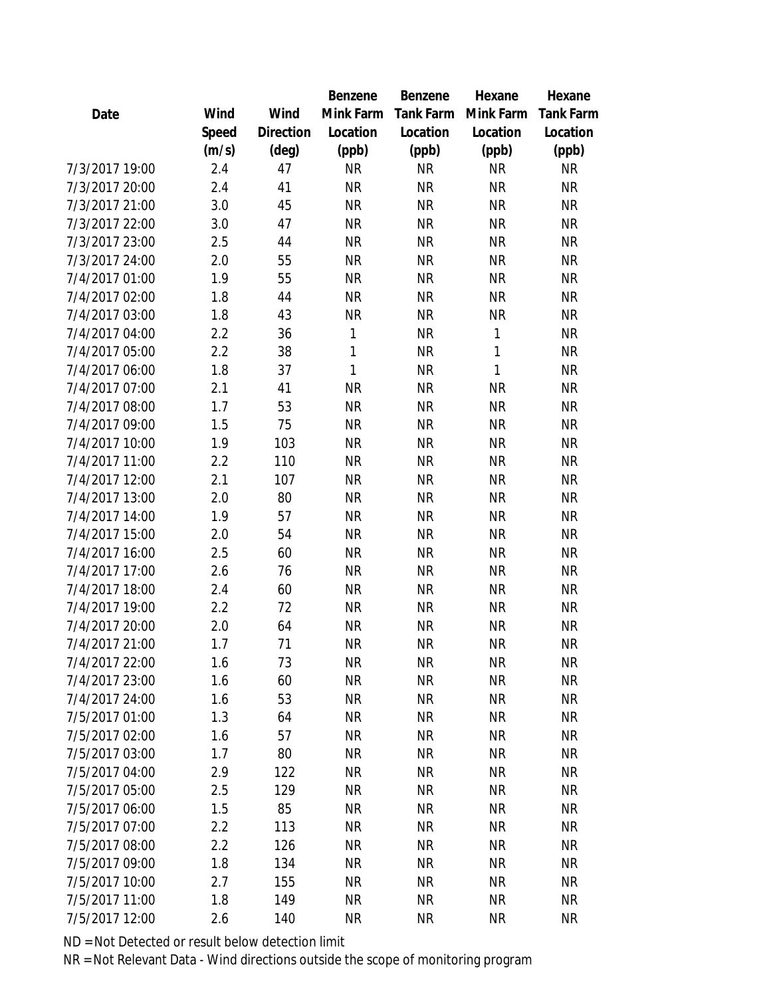|                |       |           | Benzene   | Benzene          | Hexane    | Hexane           |
|----------------|-------|-----------|-----------|------------------|-----------|------------------|
| Date           | Wind  | Wind      | Mink Farm | <b>Tank Farm</b> | Mink Farm | <b>Tank Farm</b> |
|                | Speed | Direction | Location  | Location         | Location  | Location         |
|                | (m/s) | (deg)     | (ppb)     | (ppb)            | (ppb)     | (ppb)            |
| 7/3/2017 19:00 | 2.4   | 47        | <b>NR</b> | <b>NR</b>        | <b>NR</b> | <b>NR</b>        |
| 7/3/2017 20:00 | 2.4   | 41        | <b>NR</b> | <b>NR</b>        | <b>NR</b> | <b>NR</b>        |
| 7/3/2017 21:00 | 3.0   | 45        | <b>NR</b> | <b>NR</b>        | <b>NR</b> | <b>NR</b>        |
| 7/3/2017 22:00 | 3.0   | 47        | <b>NR</b> | <b>NR</b>        | <b>NR</b> | <b>NR</b>        |
| 7/3/2017 23:00 | 2.5   | 44        | <b>NR</b> | <b>NR</b>        | <b>NR</b> | <b>NR</b>        |
| 7/3/2017 24:00 | 2.0   | 55        | <b>NR</b> | <b>NR</b>        | <b>NR</b> | <b>NR</b>        |
| 7/4/2017 01:00 | 1.9   | 55        | <b>NR</b> | <b>NR</b>        | <b>NR</b> | <b>NR</b>        |
| 7/4/2017 02:00 | 1.8   | 44        | <b>NR</b> | <b>NR</b>        | <b>NR</b> | <b>NR</b>        |
| 7/4/2017 03:00 | 1.8   | 43        | <b>NR</b> | <b>NR</b>        | <b>NR</b> | <b>NR</b>        |
| 7/4/2017 04:00 | 2.2   | 36        | 1         | <b>NR</b>        | 1         | <b>NR</b>        |
| 7/4/2017 05:00 | 2.2   | 38        | 1         | <b>NR</b>        | 1         | <b>NR</b>        |
| 7/4/2017 06:00 | 1.8   | 37        | 1         | <b>NR</b>        | 1         | <b>NR</b>        |
| 7/4/2017 07:00 | 2.1   | 41        | <b>NR</b> | <b>NR</b>        | <b>NR</b> | <b>NR</b>        |
| 7/4/2017 08:00 | 1.7   | 53        | <b>NR</b> | <b>NR</b>        | <b>NR</b> | <b>NR</b>        |
| 7/4/2017 09:00 | 1.5   | 75        | <b>NR</b> | <b>NR</b>        | <b>NR</b> | <b>NR</b>        |
| 7/4/2017 10:00 | 1.9   | 103       | <b>NR</b> | <b>NR</b>        | <b>NR</b> | <b>NR</b>        |
| 7/4/2017 11:00 | 2.2   | 110       | <b>NR</b> | <b>NR</b>        | <b>NR</b> | <b>NR</b>        |
| 7/4/2017 12:00 | 2.1   | 107       | <b>NR</b> | <b>NR</b>        | <b>NR</b> | <b>NR</b>        |
| 7/4/2017 13:00 | 2.0   | 80        | <b>NR</b> | <b>NR</b>        | <b>NR</b> | <b>NR</b>        |
| 7/4/2017 14:00 | 1.9   | 57        | <b>NR</b> | <b>NR</b>        | <b>NR</b> | <b>NR</b>        |
| 7/4/2017 15:00 | 2.0   | 54        | <b>NR</b> | <b>NR</b>        | <b>NR</b> | <b>NR</b>        |
| 7/4/2017 16:00 | 2.5   | 60        | <b>NR</b> | <b>NR</b>        | <b>NR</b> | <b>NR</b>        |
| 7/4/2017 17:00 | 2.6   | 76        | <b>NR</b> | <b>NR</b>        | <b>NR</b> | <b>NR</b>        |
| 7/4/2017 18:00 | 2.4   | 60        | <b>NR</b> | <b>NR</b>        | <b>NR</b> | <b>NR</b>        |
| 7/4/2017 19:00 | 2.2   | 72        | <b>NR</b> | <b>NR</b>        | <b>NR</b> | <b>NR</b>        |
| 7/4/2017 20:00 | 2.0   | 64        | <b>NR</b> | <b>NR</b>        | <b>NR</b> | NR               |
| 7/4/2017 21:00 | 1.7   | 71        | <b>NR</b> | <b>NR</b>        | <b>NR</b> | <b>NR</b>        |
| 7/4/2017 22:00 | 1.6   | 73        | <b>NR</b> | <b>NR</b>        | <b>NR</b> | <b>NR</b>        |
| 7/4/2017 23:00 | 1.6   | 60        | <b>NR</b> | <b>NR</b>        | <b>NR</b> | <b>NR</b>        |
| 7/4/2017 24:00 | 1.6   | 53        | <b>NR</b> | <b>NR</b>        | <b>NR</b> | <b>NR</b>        |
| 7/5/2017 01:00 | 1.3   | 64        | <b>NR</b> | <b>NR</b>        | <b>NR</b> | <b>NR</b>        |
| 7/5/2017 02:00 | 1.6   | 57        | <b>NR</b> | <b>NR</b>        | <b>NR</b> | <b>NR</b>        |
| 7/5/2017 03:00 | 1.7   | 80        | <b>NR</b> | <b>NR</b>        | <b>NR</b> | <b>NR</b>        |
| 7/5/2017 04:00 | 2.9   | 122       | <b>NR</b> | <b>NR</b>        | <b>NR</b> | <b>NR</b>        |
| 7/5/2017 05:00 | 2.5   | 129       | <b>NR</b> | <b>NR</b>        | <b>NR</b> | <b>NR</b>        |
| 7/5/2017 06:00 | 1.5   | 85        | <b>NR</b> | <b>NR</b>        | <b>NR</b> | <b>NR</b>        |
| 7/5/2017 07:00 | 2.2   | 113       | <b>NR</b> | <b>NR</b>        | <b>NR</b> | <b>NR</b>        |
| 7/5/2017 08:00 | 2.2   | 126       | <b>NR</b> | <b>NR</b>        | <b>NR</b> | <b>NR</b>        |
| 7/5/2017 09:00 | 1.8   | 134       | <b>NR</b> | <b>NR</b>        | <b>NR</b> | <b>NR</b>        |
| 7/5/2017 10:00 | 2.7   | 155       | <b>NR</b> | <b>NR</b>        | <b>NR</b> | NR               |
| 7/5/2017 11:00 | 1.8   | 149       | <b>NR</b> | <b>NR</b>        | <b>NR</b> | <b>NR</b>        |
| 7/5/2017 12:00 | 2.6   | 140       | <b>NR</b> | <b>NR</b>        | <b>NR</b> | <b>NR</b>        |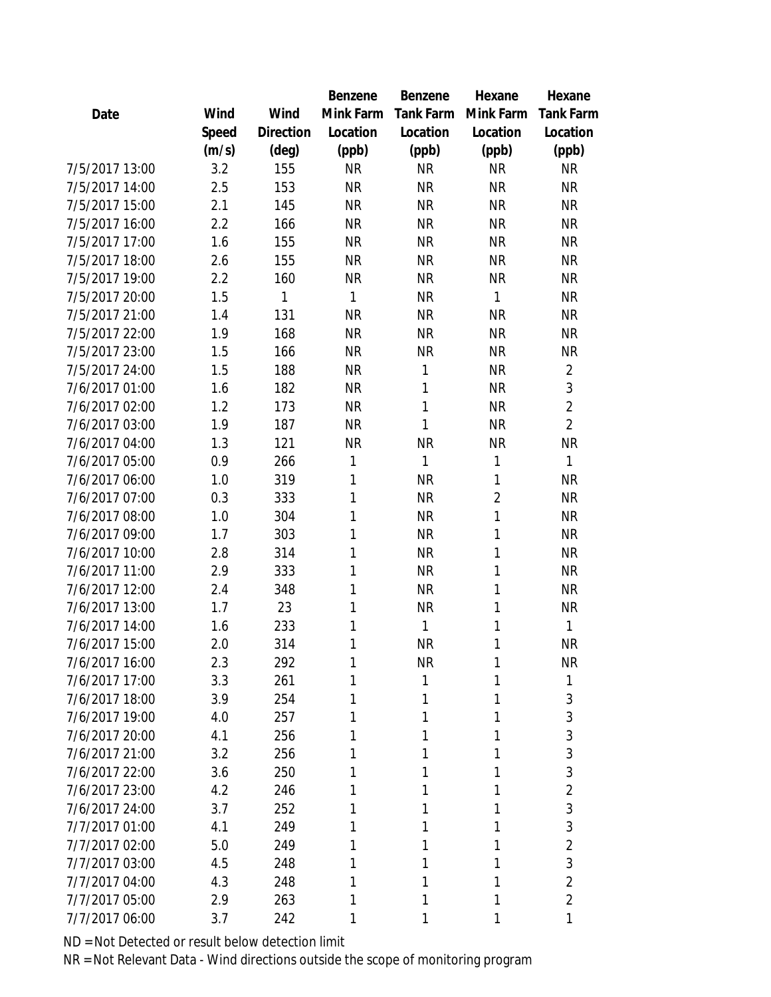|                |       |                | Benzene   | Benzene          | Hexane         | Hexane           |
|----------------|-------|----------------|-----------|------------------|----------------|------------------|
| Date           | Wind  | Wind           | Mink Farm | <b>Tank Farm</b> | Mink Farm      | <b>Tank Farm</b> |
|                | Speed | Direction      | Location  | Location         | Location       | Location         |
|                | (m/s) | $(\text{deg})$ | (ppb)     | (ppb)            | (ppb)          | (ppb)            |
| 7/5/2017 13:00 | 3.2   | 155            | <b>NR</b> | <b>NR</b>        | <b>NR</b>      | <b>NR</b>        |
| 7/5/2017 14:00 | 2.5   | 153            | <b>NR</b> | <b>NR</b>        | <b>NR</b>      | <b>NR</b>        |
| 7/5/2017 15:00 | 2.1   | 145            | <b>NR</b> | <b>NR</b>        | <b>NR</b>      | <b>NR</b>        |
| 7/5/2017 16:00 | 2.2   | 166            | <b>NR</b> | <b>NR</b>        | <b>NR</b>      | <b>NR</b>        |
| 7/5/2017 17:00 | 1.6   | 155            | <b>NR</b> | <b>NR</b>        | <b>NR</b>      | <b>NR</b>        |
| 7/5/2017 18:00 | 2.6   | 155            | <b>NR</b> | <b>NR</b>        | <b>NR</b>      | <b>NR</b>        |
| 7/5/2017 19:00 | 2.2   | 160            | <b>NR</b> | <b>NR</b>        | <b>NR</b>      | <b>NR</b>        |
| 7/5/2017 20:00 | 1.5   | 1              | 1         | <b>NR</b>        | 1              | <b>NR</b>        |
| 7/5/2017 21:00 | 1.4   | 131            | <b>NR</b> | <b>NR</b>        | <b>NR</b>      | <b>NR</b>        |
| 7/5/2017 22:00 | 1.9   | 168            | <b>NR</b> | <b>NR</b>        | <b>NR</b>      | <b>NR</b>        |
| 7/5/2017 23:00 | 1.5   | 166            | <b>NR</b> | <b>NR</b>        | <b>NR</b>      | <b>NR</b>        |
| 7/5/2017 24:00 | 1.5   | 188            | <b>NR</b> | 1                | <b>NR</b>      | $\overline{2}$   |
| 7/6/2017 01:00 | 1.6   | 182            | <b>NR</b> | 1                | <b>NR</b>      | 3                |
| 7/6/2017 02:00 | 1.2   | 173            | <b>NR</b> | 1                | <b>NR</b>      | $\overline{2}$   |
| 7/6/2017 03:00 | 1.9   | 187            | <b>NR</b> | 1                | <b>NR</b>      | $\overline{2}$   |
| 7/6/2017 04:00 | 1.3   | 121            | <b>NR</b> | <b>NR</b>        | <b>NR</b>      | <b>NR</b>        |
| 7/6/2017 05:00 | 0.9   | 266            | 1         | 1                | 1              | $\mathbf{1}$     |
| 7/6/2017 06:00 | 1.0   | 319            | 1         | <b>NR</b>        | 1              | <b>NR</b>        |
| 7/6/2017 07:00 | 0.3   | 333            | 1         | <b>NR</b>        | $\overline{2}$ | <b>NR</b>        |
| 7/6/2017 08:00 | 1.0   | 304            | 1         | <b>NR</b>        | 1              | <b>NR</b>        |
| 7/6/2017 09:00 | 1.7   | 303            | 1         | <b>NR</b>        | 1              | <b>NR</b>        |
| 7/6/2017 10:00 | 2.8   | 314            | 1         | <b>NR</b>        | 1              | <b>NR</b>        |
| 7/6/2017 11:00 | 2.9   | 333            | 1         | <b>NR</b>        | 1              | <b>NR</b>        |
| 7/6/2017 12:00 | 2.4   | 348            | 1         | <b>NR</b>        | 1              | <b>NR</b>        |
| 7/6/2017 13:00 | 1.7   | 23             | 1         | <b>NR</b>        | 1              | <b>NR</b>        |
| 7/6/2017 14:00 | 1.6   | 233            | 1         | 1                | 1              | 1                |
| 7/6/2017 15:00 | 2.0   | 314            | 1         | <b>NR</b>        | 1              | <b>NR</b>        |
| 7/6/2017 16:00 | 2.3   | 292            | 1         | <b>NR</b>        | 1              | <b>NR</b>        |
| 7/6/2017 17:00 | 3.3   | 261            |           | 1                | 1              | 1                |
| 7/6/2017 18:00 | 3.9   | 254            |           | 1                | 1              | 3                |
| 7/6/2017 19:00 | 4.0   | 257            | 1         | 1                | 1              | 3                |
| 7/6/2017 20:00 | 4.1   | 256            |           | 1                | 1              | 3                |
| 7/6/2017 21:00 | 3.2   | 256            |           | 1                | 1              | 3                |
| 7/6/2017 22:00 | 3.6   | 250            |           | Ί                | 1              | 3                |
| 7/6/2017 23:00 | 4.2   | 246            |           | 1                | 1              | $\overline{2}$   |
| 7/6/2017 24:00 | 3.7   | 252            | 1         | 1                | 1              | 3                |
| 7/7/2017 01:00 | 4.1   | 249            |           |                  |                | 3                |
| 7/7/2017 02:00 | 5.0   | 249            |           | 1                | 1              | $\overline{2}$   |
| 7/7/2017 03:00 | 4.5   | 248            |           | 1                | 1              | 3                |
| 7/7/2017 04:00 | 4.3   | 248            |           | 1                | 1              | $\overline{2}$   |
| 7/7/2017 05:00 | 2.9   | 263            | 1         | 1                | 1              | $\overline{2}$   |
| 7/7/2017 06:00 | 3.7   | 242            | 1         | 1                | 1              | 1                |